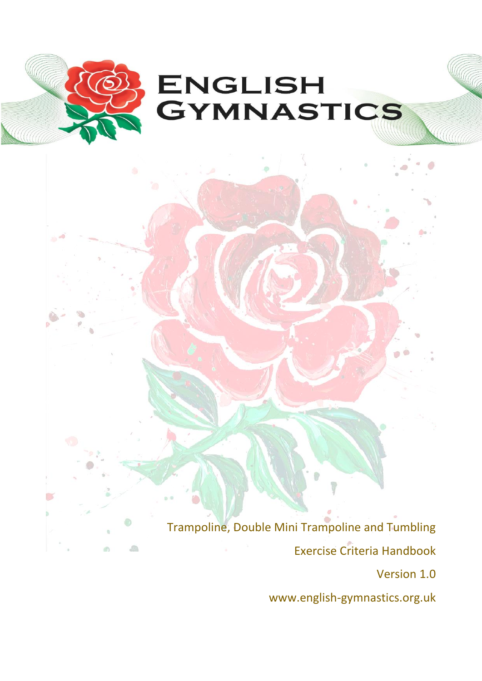

Trampoline, Double Mini Trampoline and Tumbling Exercise Criteria Handbook Version 1.0

o

痂

www.english-gymnastics.org.uk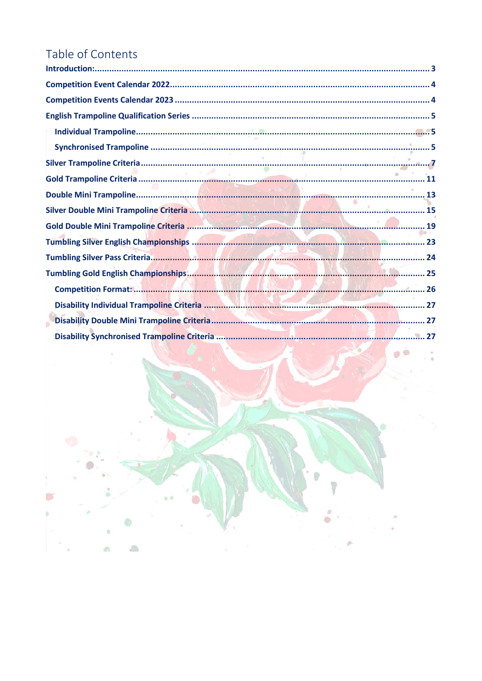# Table of Contents

 $\mathbb{Z}$ 

 $\sqrt{2}$ 

 $\oplus$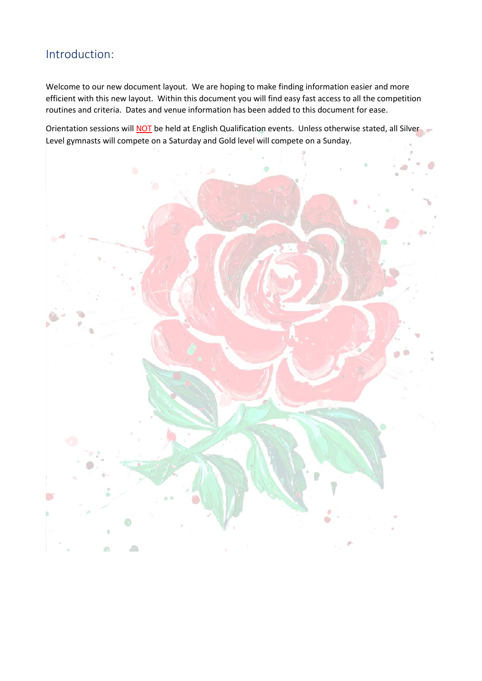# <span id="page-2-0"></span>Introduction:

Welcome to our new document layout. We are hoping to make finding information easier and more efficient with this new layout. Within this document you will find easy fast access to all the competition routines and criteria. Dates and venue information has been added to this document for ease.

Orientation sessions will **NOT** be held at English Qualification events. Unless otherwise stated, all Silver Level gymnasts will compete on a Saturday and Gold level will compete on a Sunday.

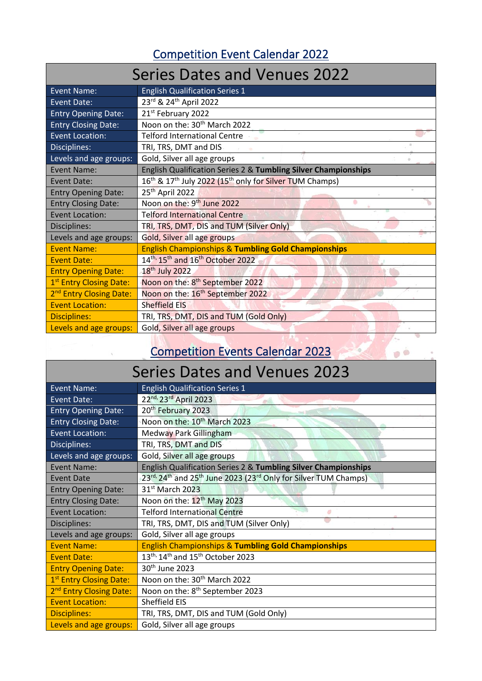# Competition Event Calendar 2022

<span id="page-3-0"></span>

| <b>Series Dates and Venues 2022</b> |                                                                                             |
|-------------------------------------|---------------------------------------------------------------------------------------------|
| <b>Event Name:</b>                  | <b>English Qualification Series 1</b>                                                       |
| <b>Event Date:</b>                  | 23rd & 24th April 2022                                                                      |
| <b>Entry Opening Date:</b>          | 21 <sup>st</sup> February 2022                                                              |
| <b>Entry Closing Date:</b>          | Noon on the: 30 <sup>th</sup> March 2022                                                    |
| <b>Event Location:</b>              | <b>Telford International Centre</b>                                                         |
| Disciplines:                        | TRI, TRS, DMT and DIS                                                                       |
| Levels and age groups:              | Gold, Silver all age groups                                                                 |
| Event Name:                         | English Qualification Series 2 & Tumbling Silver Championships                              |
| Event Date:                         | 16 <sup>th</sup> & 17 <sup>th</sup> July 2022 (15 <sup>th</sup> only for Silver TUM Champs) |
| <b>Entry Opening Date:</b>          | 25 <sup>th</sup> April 2022                                                                 |
| <b>Entry Closing Date:</b>          | Noon on the: 9 <sup>th</sup> June 2022                                                      |
| <b>Event Location:</b>              | <b>Telford International Centre</b>                                                         |
| Disciplines:                        | TRI, TRS, DMT, DIS and TUM (Silver Only)                                                    |
| Levels and age groups:              | Gold, Silver all age groups                                                                 |
| <b>Event Name:</b>                  | <b>English Championships &amp; Tumbling Gold Championships</b>                              |
| <b>Event Date:</b>                  | 14 <sup>th,</sup> 15 <sup>th</sup> and 16 <sup>th</sup> October 2022                        |
| <b>Entry Opening Date:</b>          | 18 <sup>th</sup> July 2022                                                                  |
| 1st Entry Closing Date:             | Noon on the: 8 <sup>th</sup> September 2022                                                 |
| 2 <sup>nd</sup> Entry Closing Date: | Noon on the: 16 <sup>th</sup> September 2022                                                |
| <b>Event Location:</b>              | <b>Sheffield EIS</b>                                                                        |
| <b>Disciplines:</b>                 | TRI, TRS, DMT, DIS and TUM (Gold Only)                                                      |
| Levels and age groups:              | Gold, Silver all age groups                                                                 |

# Competition Events Calendar 2023

 $\mathbf{p}$ 

# Series Dates and Venues 2023

<span id="page-3-1"></span>

| <b>Event Name:</b>                  | <b>English Qualification Series 1</b>                                                                           |
|-------------------------------------|-----------------------------------------------------------------------------------------------------------------|
| <b>Event Date:</b>                  | 22nd, 23rd April 2023                                                                                           |
| <b>Entry Opening Date:</b>          | 20 <sup>th</sup> February 2023                                                                                  |
| <b>Entry Closing Date:</b>          | Noon on the: 10 <sup>th</sup> March 2023                                                                        |
| <b>Event Location:</b>              | <b>Medway Park Gillingham</b>                                                                                   |
| Disciplines:                        | TRI, TRS, DMT and DIS                                                                                           |
| Levels and age groups:              | Gold, Silver all age groups                                                                                     |
| <b>Event Name:</b>                  | English Qualification Series 2 & Tumbling Silver Championships                                                  |
| <b>Event Date</b>                   | 23 <sup>rd,</sup> 24 <sup>th</sup> and 25 <sup>th</sup> June 2023 (23 <sup>rd</sup> Only for Silver TUM Champs) |
| <b>Entry Opening Date:</b>          | 31 <sup>st</sup> March 2023                                                                                     |
| <b>Entry Closing Date:</b>          | Noon on the: 12 <sup>th</sup> May 2023                                                                          |
| <b>Event Location:</b>              | <b>Telford International Centre</b><br>ø                                                                        |
| Disciplines:                        | TRI, TRS, DMT, DIS and TUM (Silver Only)                                                                        |
| Levels and age groups:              | Gold, Silver all age groups                                                                                     |
| <b>Event Name:</b>                  | <b>English Championships &amp; Tumbling Gold Championships</b>                                                  |
| <b>Event Date:</b>                  | 13 <sup>th,</sup> 14 <sup>th</sup> and 15 <sup>th</sup> October 2023                                            |
| <b>Entry Opening Date:</b>          | 30 <sup>th</sup> June 2023                                                                                      |
| 1 <sup>st</sup> Entry Closing Date: | Noon on the: 30 <sup>th</sup> March 2022                                                                        |
| 2 <sup>nd</sup> Entry Closing Date: | Noon on the: 8 <sup>th</sup> September 2023                                                                     |
| <b>Event Location:</b>              | Sheffield EIS                                                                                                   |
| <b>Disciplines:</b>                 | TRI, TRS, DMT, DIS and TUM (Gold Only)                                                                          |
| Levels and age groups:              | Gold, Silver all age groups                                                                                     |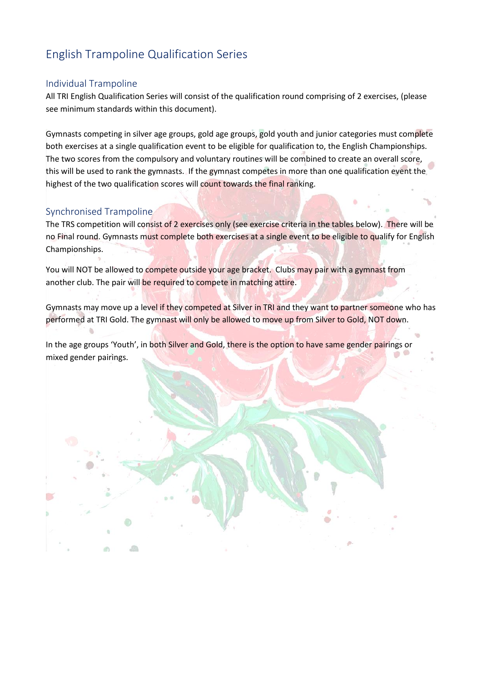# <span id="page-4-0"></span>English Trampoline Qualification Series

#### <span id="page-4-1"></span>Individual Trampoline

All TRI English Qualification Series will consist of the qualification round comprising of 2 exercises, (please see minimum standards within this document).

Gymnasts competing in silver age groups, gold age groups, gold youth and junior categories must complete both exercises at a single qualification event to be eligible for qualification to, the English Championships. The two scores from the compulsory and voluntary routines will be combined to create an overall score, this will be used to rank the gymnasts. If the gymnast competes in more than one qualification event the highest of the two qualification scores will count towards the final ranking.

#### <span id="page-4-2"></span>Synchronised Trampoline

The TRS competition will consist of 2 exercises only (see exercise criteria in the tables below). There will be no Final round. Gymnasts must complete both exercises at a single event to be eligible to qualify for English Championships.

You will NOT be allowed to compete outside your age bracket. Clubs may pair with a gymnast from another club. The pair will be required to compete in matching attire.

Gymnasts may move up a level if they competed at Silver in TRI and they want to partner someone who has performed at TRI Gold. The gymnast will only be allowed to move up from Silver to Gold, NOT down.

In the age groups 'Youth', in both Silver and Gold, there is the option to have same gender pairings or mixed gender pairings.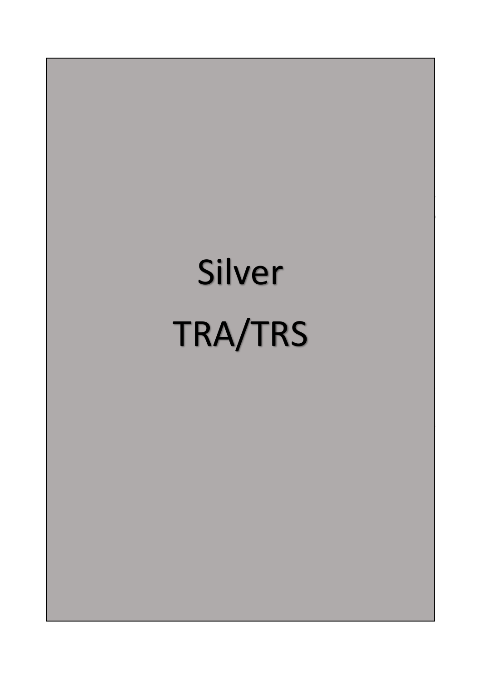# Silver TRA/TRS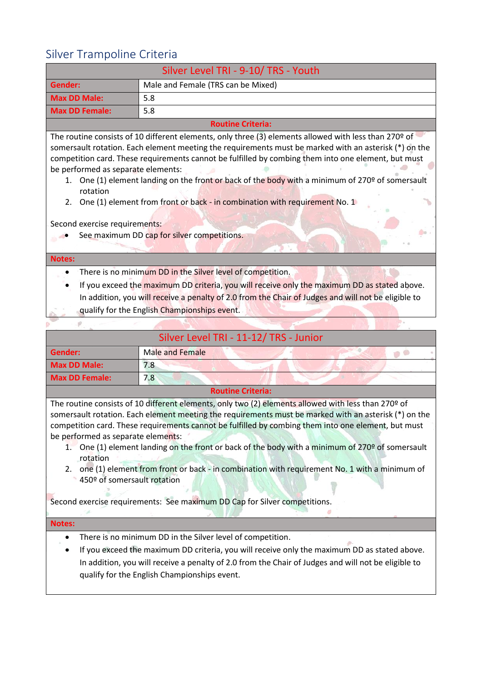# <span id="page-6-0"></span>Silver Trampoline Criteria

| Silver Level TRI - 9-10/ TRS - Youth                                                                |                                                                                                                                                                                                                                                                                                                                                                                                                                                                                                         |
|-----------------------------------------------------------------------------------------------------|---------------------------------------------------------------------------------------------------------------------------------------------------------------------------------------------------------------------------------------------------------------------------------------------------------------------------------------------------------------------------------------------------------------------------------------------------------------------------------------------------------|
| Gender:                                                                                             | Male and Female (TRS can be Mixed)                                                                                                                                                                                                                                                                                                                                                                                                                                                                      |
| <b>Max DD Male:</b>                                                                                 | 5.8                                                                                                                                                                                                                                                                                                                                                                                                                                                                                                     |
| <b>Max DD Female:</b>                                                                               | 5.8                                                                                                                                                                                                                                                                                                                                                                                                                                                                                                     |
|                                                                                                     | <b>Routine Criteria:</b>                                                                                                                                                                                                                                                                                                                                                                                                                                                                                |
| be performed as separate elements:<br>1.<br>rotation<br>2.                                          | The routine consists of 10 different elements, only three (3) elements allowed with less than 270 $9$ of<br>somersault rotation. Each element meeting the requirements must be marked with an asterisk (*) on the<br>competition card. These requirements cannot be fulfilled by combing them into one element, but must<br>One (1) element landing on the front or back of the body with a minimum of 270º of somersault<br>One (1) element from front or back - in combination with requirement No. 1 |
| Second exercise requirements:                                                                       |                                                                                                                                                                                                                                                                                                                                                                                                                                                                                                         |
|                                                                                                     | See maximum DD cap for silver competitions.                                                                                                                                                                                                                                                                                                                                                                                                                                                             |
| <b>Notes:</b>                                                                                       |                                                                                                                                                                                                                                                                                                                                                                                                                                                                                                         |
|                                                                                                     | There is no minimum DD in the Silver level of competition.                                                                                                                                                                                                                                                                                                                                                                                                                                              |
| If you exceed the maximum DD criteria, you will receive only the maximum DD as stated above.        |                                                                                                                                                                                                                                                                                                                                                                                                                                                                                                         |
| In addition, you will receive a penalty of 2.0 from the Chair of Judges and will not be eligible to |                                                                                                                                                                                                                                                                                                                                                                                                                                                                                                         |
| qualify for the English Championships event.                                                        |                                                                                                                                                                                                                                                                                                                                                                                                                                                                                                         |
|                                                                                                     |                                                                                                                                                                                                                                                                                                                                                                                                                                                                                                         |
| Silver Level TRI - 11-12/ TRS - Junior                                                              |                                                                                                                                                                                                                                                                                                                                                                                                                                                                                                         |
| <b>Gender:</b>                                                                                      | <b>Male and Female</b>                                                                                                                                                                                                                                                                                                                                                                                                                                                                                  |

| Silver Level TRI - 11-12/ TRS - Junior                                                             |                 |  |
|----------------------------------------------------------------------------------------------------|-----------------|--|
| Gender:                                                                                            | Male and Female |  |
| <b>Max DD Male:</b>                                                                                | 7.8             |  |
| <b>Max DD Female:</b>                                                                              | 7.8             |  |
| <b>Routine Criteria:</b>                                                                           |                 |  |
| The reutine consists of 10 different elements, any two (2) elements allowed with loss than 2708 of |                 |  |

The routine consists of 10 different elements, only two (2) elements allowed with less than 270º of somersault rotation. Each element meeting the requirements must be marked with an asterisk (\*) on the competition card. These requirements cannot be fulfilled by combing them into one element, but must be performed as separate elements:

- 1. One (1) element landing on the front or back of the body with a minimum of 270º of somersault rotation
- 2. one (1) element from front or back in combination with requirement No. 1 with a minimum of 450º of somersault rotation

Second exercise requirements: See maximum DD Cap for Silver competitions.

#### **Notes:**

- There is no minimum DD in the Silver level of competition.
- If you exceed the maximum DD criteria, you will receive only the maximum DD as stated above. In addition, you will receive a penalty of 2.0 from the Chair of Judges and will not be eligible to qualify for the English Championships event.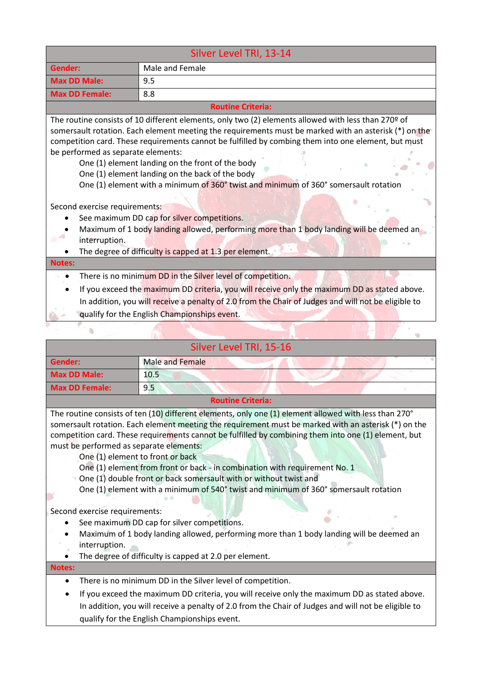| Silver Level TRI, 13-14            |                                                                                                                                                                                                                                                                                                                                                                                                                                                                                                                       |
|------------------------------------|-----------------------------------------------------------------------------------------------------------------------------------------------------------------------------------------------------------------------------------------------------------------------------------------------------------------------------------------------------------------------------------------------------------------------------------------------------------------------------------------------------------------------|
| Gender:                            | Male and Female                                                                                                                                                                                                                                                                                                                                                                                                                                                                                                       |
| <b>Max DD Male:</b>                | 9.5                                                                                                                                                                                                                                                                                                                                                                                                                                                                                                                   |
| <b>Max DD Female:</b>              | 8.8                                                                                                                                                                                                                                                                                                                                                                                                                                                                                                                   |
|                                    | <b>Routine Criteria:</b>                                                                                                                                                                                                                                                                                                                                                                                                                                                                                              |
| be performed as separate elements: | The routine consists of 10 different elements, only two (2) elements allowed with less than 270 $9$ of<br>somersault rotation. Each element meeting the requirements must be marked with an asterisk (*) on the<br>competition card. These requirements cannot be fulfilled by combing them into one element, but must<br>One (1) element landing on the front of the body<br>One (1) element landing on the back of the body<br>One (1) element with a minimum of 360° twist and minimum of 360° somersault rotation |
| Second exercise requirements:      |                                                                                                                                                                                                                                                                                                                                                                                                                                                                                                                       |
|                                    | See maximum DD cap for silver competitions.                                                                                                                                                                                                                                                                                                                                                                                                                                                                           |
| interruption.                      | Maximum of 1 body landing allowed, performing more than 1 body landing will be deemed an<br>The degree of difficulty is capped at 1.3 per element.                                                                                                                                                                                                                                                                                                                                                                    |
| <b>Notes:</b>                      |                                                                                                                                                                                                                                                                                                                                                                                                                                                                                                                       |
|                                    | There is no minimum DD in the Silver level of competition.<br>If you exceed the maximum DD criteria, you will receive only the maximum DD as stated above.<br>In addition, you will receive a penalty of 2.0 from the Chair of Judges and will not be eligible to<br>qualify for the English Championships event.                                                                                                                                                                                                     |
|                                    |                                                                                                                                                                                                                                                                                                                                                                                                                                                                                                                       |

|                                                                                                            | Silver Level TRI, 15-16                                                                                                                                                                                                                                                                                                                                                                                                                                                                                                                                                                                                                                                                                                                                                                                   |
|------------------------------------------------------------------------------------------------------------|-----------------------------------------------------------------------------------------------------------------------------------------------------------------------------------------------------------------------------------------------------------------------------------------------------------------------------------------------------------------------------------------------------------------------------------------------------------------------------------------------------------------------------------------------------------------------------------------------------------------------------------------------------------------------------------------------------------------------------------------------------------------------------------------------------------|
| <b>Gender:</b>                                                                                             | <b>Male and Female</b>                                                                                                                                                                                                                                                                                                                                                                                                                                                                                                                                                                                                                                                                                                                                                                                    |
| <b>Max DD Male:</b>                                                                                        | 10.5                                                                                                                                                                                                                                                                                                                                                                                                                                                                                                                                                                                                                                                                                                                                                                                                      |
| <b>Max DD Female:</b>                                                                                      | 9.5                                                                                                                                                                                                                                                                                                                                                                                                                                                                                                                                                                                                                                                                                                                                                                                                       |
|                                                                                                            | <b>Routine Criteria:</b>                                                                                                                                                                                                                                                                                                                                                                                                                                                                                                                                                                                                                                                                                                                                                                                  |
| must be performed as separate elements:<br>Second exercise requirements:<br>interruption.<br><b>Notes:</b> | The routine consists of ten (10) different elements, only one (1) element allowed with less than 270°<br>somersault rotation. Each element meeting the requirement must be marked with an asterisk (*) on the<br>competition card. These requirements cannot be fulfilled by combining them into one (1) element, but<br>One (1) element to front or back<br>One (1) element from front or back - in combination with requirement No. 1<br>One (1) double front or back somersault with or without twist and<br>One (1) element with a minimum of 540° twist and minimum of 360° somersault rotation<br>See maximum DD cap for silver competitions.<br>Maximum of 1 body landing allowed, performing more than 1 body landing will be deemed an<br>The degree of difficulty is capped at 2.0 per element. |
|                                                                                                            |                                                                                                                                                                                                                                                                                                                                                                                                                                                                                                                                                                                                                                                                                                                                                                                                           |
| $\bullet$                                                                                                  | There is no minimum DD in the Silver level of competition.                                                                                                                                                                                                                                                                                                                                                                                                                                                                                                                                                                                                                                                                                                                                                |
| $\bullet$                                                                                                  | If you exceed the maximum DD criteria, you will receive only the maximum DD as stated above.                                                                                                                                                                                                                                                                                                                                                                                                                                                                                                                                                                                                                                                                                                              |
|                                                                                                            | In addition, you will receive a penalty of 2.0 from the Chair of Judges and will not be eligible to<br>qualify for the English Championships event.                                                                                                                                                                                                                                                                                                                                                                                                                                                                                                                                                                                                                                                       |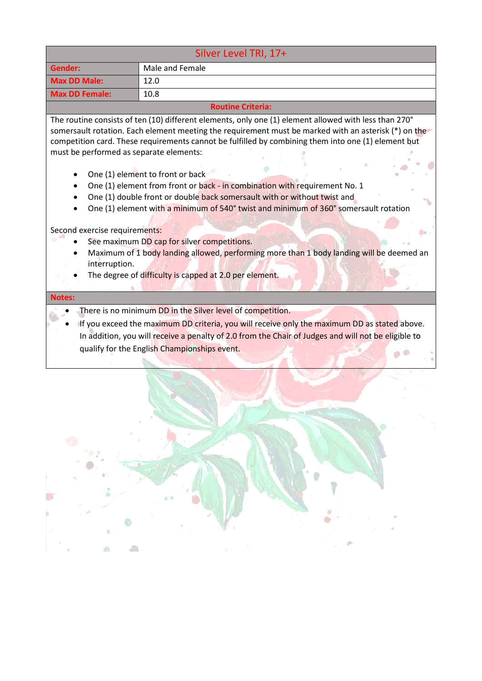| Silver Level TRI, 17+                                                                                      |                                                                                                                                                                                                                                                                                                                                                                                                                                                                                                                                                                                                                                                                                                                                                                                                                 |
|------------------------------------------------------------------------------------------------------------|-----------------------------------------------------------------------------------------------------------------------------------------------------------------------------------------------------------------------------------------------------------------------------------------------------------------------------------------------------------------------------------------------------------------------------------------------------------------------------------------------------------------------------------------------------------------------------------------------------------------------------------------------------------------------------------------------------------------------------------------------------------------------------------------------------------------|
| Gender:                                                                                                    | Male and Female                                                                                                                                                                                                                                                                                                                                                                                                                                                                                                                                                                                                                                                                                                                                                                                                 |
| <b>Max DD Male:</b>                                                                                        | 12.0                                                                                                                                                                                                                                                                                                                                                                                                                                                                                                                                                                                                                                                                                                                                                                                                            |
| <b>Max DD Female:</b>                                                                                      | 10.8                                                                                                                                                                                                                                                                                                                                                                                                                                                                                                                                                                                                                                                                                                                                                                                                            |
|                                                                                                            | <b>Routine Criteria:</b>                                                                                                                                                                                                                                                                                                                                                                                                                                                                                                                                                                                                                                                                                                                                                                                        |
| must be performed as separate elements:<br>Second exercise requirements:<br>interruption.<br><b>Notes:</b> | The routine consists of ten (10) different elements, only one (1) element allowed with less than 270°<br>somersault rotation. Each element meeting the requirement must be marked with an asterisk (*) on the<br>competition card. These requirements cannot be fulfilled by combining them into one (1) element but<br>One (1) element to front or back<br>One (1) element from front or back - in combination with requirement No. 1<br>One (1) double front or double back somersault with or without twist and<br>One (1) element with a minimum of 540° twist and minimum of 360° somersault rotation<br>See maximum DD cap for silver competitions.<br>Maximum of 1 body landing allowed, performing more than 1 body landing will be deemed an<br>The degree of difficulty is capped at 2.0 per element. |
|                                                                                                            | If you exceed the maximum DD criteria, you will receive only the maximum DD as stated above.<br>In addition, you will receive a penalty of 2.0 from the Chair of Judges and will not be eligible to<br>qualify for the English Championships event.                                                                                                                                                                                                                                                                                                                                                                                                                                                                                                                                                             |
| 齑                                                                                                          |                                                                                                                                                                                                                                                                                                                                                                                                                                                                                                                                                                                                                                                                                                                                                                                                                 |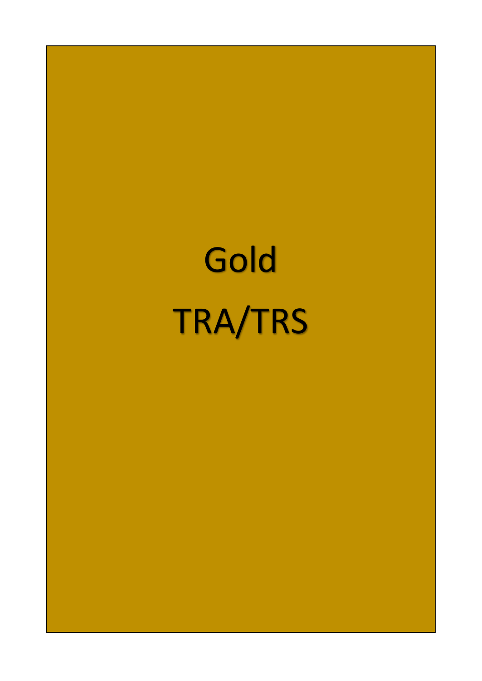# Gold TRA/TRS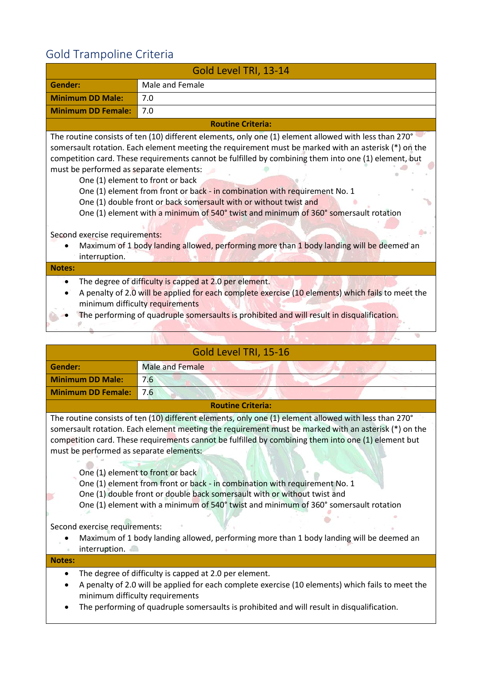# <span id="page-10-0"></span>Gold Trampoline Criteria

| Gold Level TRI, 13-14                                                                                                                                                                                                                                                                        |                                                                                                                                                                                                                                                                                                                                                                                                                                                                                                                                                                                                                                                                                                  |
|----------------------------------------------------------------------------------------------------------------------------------------------------------------------------------------------------------------------------------------------------------------------------------------------|--------------------------------------------------------------------------------------------------------------------------------------------------------------------------------------------------------------------------------------------------------------------------------------------------------------------------------------------------------------------------------------------------------------------------------------------------------------------------------------------------------------------------------------------------------------------------------------------------------------------------------------------------------------------------------------------------|
| <b>Gender:</b>                                                                                                                                                                                                                                                                               | Male and Female                                                                                                                                                                                                                                                                                                                                                                                                                                                                                                                                                                                                                                                                                  |
| <b>Minimum DD Male:</b>                                                                                                                                                                                                                                                                      | 7.0                                                                                                                                                                                                                                                                                                                                                                                                                                                                                                                                                                                                                                                                                              |
| <b>Minimum DD Female:</b>                                                                                                                                                                                                                                                                    | 7.0                                                                                                                                                                                                                                                                                                                                                                                                                                                                                                                                                                                                                                                                                              |
|                                                                                                                                                                                                                                                                                              | <b>Routine Criteria:</b>                                                                                                                                                                                                                                                                                                                                                                                                                                                                                                                                                                                                                                                                         |
| must be performed as separate elements:<br>Second exercise requirements:<br>interruption.                                                                                                                                                                                                    | The routine consists of ten (10) different elements, only one (1) element allowed with less than 270°<br>somersault rotation. Each element meeting the requirement must be marked with an asterisk (*) on the<br>competition card. These requirements cannot be fulfilled by combining them into one (1) element, but<br>One (1) element to front or back<br>One (1) element from front or back - in combination with requirement No. 1<br>One (1) double front or back somersault with or without twist and<br>One (1) element with a minimum of 540° twist and minimum of 360° somersault rotation<br>Maximum of 1 body landing allowed, performing more than 1 body landing will be deemed an |
| Notes:                                                                                                                                                                                                                                                                                       |                                                                                                                                                                                                                                                                                                                                                                                                                                                                                                                                                                                                                                                                                                  |
| The degree of difficulty is capped at 2.0 per element.<br>A penalty of 2.0 will be applied for each complete exercise (10 elements) which fails to meet the<br>minimum difficulty requirements<br>The performing of quadruple somersaults is prohibited and will result in disqualification. |                                                                                                                                                                                                                                                                                                                                                                                                                                                                                                                                                                                                                                                                                                  |
|                                                                                                                                                                                                                                                                                              | <b>Contract Contract Contract</b><br>$\mathbf{1}$ TDI AP AC                                                                                                                                                                                                                                                                                                                                                                                                                                                                                                                                                                                                                                      |

| Gold Level TRI, 15-16                                                                     |                                                                                                                                                                                                                                                                                                                                                                                                                                                                                                                                                                                                                                                                                                        |
|-------------------------------------------------------------------------------------------|--------------------------------------------------------------------------------------------------------------------------------------------------------------------------------------------------------------------------------------------------------------------------------------------------------------------------------------------------------------------------------------------------------------------------------------------------------------------------------------------------------------------------------------------------------------------------------------------------------------------------------------------------------------------------------------------------------|
| Gender:                                                                                   | <b>Male and Female</b>                                                                                                                                                                                                                                                                                                                                                                                                                                                                                                                                                                                                                                                                                 |
| <b>Minimum DD Male:</b>                                                                   | 7.6                                                                                                                                                                                                                                                                                                                                                                                                                                                                                                                                                                                                                                                                                                    |
| <b>Minimum DD Female:</b>                                                                 | 7.6                                                                                                                                                                                                                                                                                                                                                                                                                                                                                                                                                                                                                                                                                                    |
|                                                                                           | <b>Routine Criteria:</b>                                                                                                                                                                                                                                                                                                                                                                                                                                                                                                                                                                                                                                                                               |
| must be performed as separate elements:<br>Second exercise requirements:<br>interruption. | The routine consists of ten (10) different elements, only one (1) element allowed with less than 270°<br>somersault rotation. Each element meeting the requirement must be marked with an asterisk (*) on the<br>competition card. These requirements cannot be fulfilled by combining them into one (1) element but<br>One (1) element to front or back<br>One (1) element from front or back - in combination with requirement No. 1<br>One (1) double front or double back somersault with or without twist and<br>One (1) element with a minimum of 540° twist and minimum of 360° somersault rotation<br>Maximum of 1 body landing allowed, performing more than 1 body landing will be deemed an |
| <b>Notes:</b>                                                                             |                                                                                                                                                                                                                                                                                                                                                                                                                                                                                                                                                                                                                                                                                                        |
|                                                                                           | The degree of difficulty is capped at 2.0 per element.<br>A penalty of 2.0 will be applied for each complete exercise (10 elements) which fails to meet the<br>minimum difficulty requirements<br>The performing of quadruple somersaults is prohibited and will result in disqualification.                                                                                                                                                                                                                                                                                                                                                                                                           |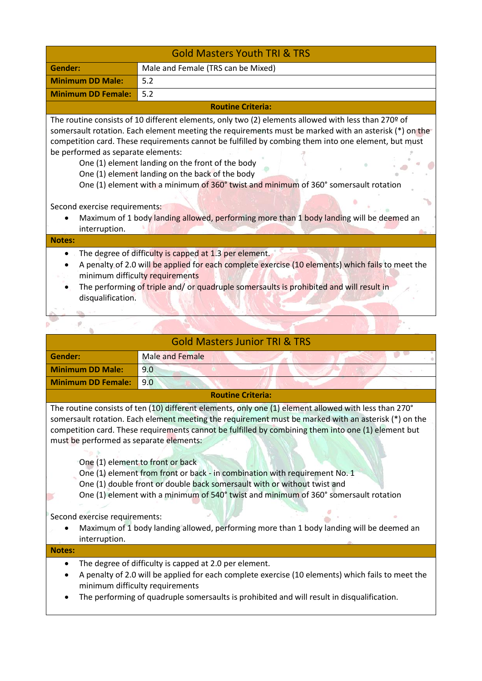|                                                                                                                                                                                                                                                                                                                                                                                                                                                                                                                                                                                                                                                                                                           | <b>Gold Masters Youth TRI &amp; TRS</b> |  |
|-----------------------------------------------------------------------------------------------------------------------------------------------------------------------------------------------------------------------------------------------------------------------------------------------------------------------------------------------------------------------------------------------------------------------------------------------------------------------------------------------------------------------------------------------------------------------------------------------------------------------------------------------------------------------------------------------------------|-----------------------------------------|--|
| Gender:                                                                                                                                                                                                                                                                                                                                                                                                                                                                                                                                                                                                                                                                                                   | Male and Female (TRS can be Mixed)      |  |
| <b>Minimum DD Male:</b>                                                                                                                                                                                                                                                                                                                                                                                                                                                                                                                                                                                                                                                                                   | 5.2                                     |  |
| <b>Minimum DD Female:</b>                                                                                                                                                                                                                                                                                                                                                                                                                                                                                                                                                                                                                                                                                 | 5.2                                     |  |
|                                                                                                                                                                                                                                                                                                                                                                                                                                                                                                                                                                                                                                                                                                           | <b>Routine Criteria:</b>                |  |
| The routine consists of 10 different elements, only two (2) elements allowed with less than 270 $9$ of<br>somersault rotation. Each element meeting the requirements must be marked with an asterisk (*) on the<br>competition card. These requirements cannot be fulfilled by combing them into one element, but must<br>be performed as separate elements:<br>One (1) element landing on the front of the body<br>One (1) element landing on the back of the body<br>One (1) element with a minimum of 360° twist and minimum of 360° somersault rotation<br>Second exercise requirements:<br>Maximum of 1 body landing allowed, performing more than 1 body landing will be deemed an<br>interruption. |                                         |  |
| <b>Notes:</b>                                                                                                                                                                                                                                                                                                                                                                                                                                                                                                                                                                                                                                                                                             |                                         |  |
| The degree of difficulty is capped at 1.3 per element.<br>A penalty of 2.0 will be applied for each complete exercise (10 elements) which fails to meet the<br>minimum difficulty requirements<br>The performing of triple and/ or quadruple somersaults is prohibited and will result in<br>disqualification.                                                                                                                                                                                                                                                                                                                                                                                            |                                         |  |
|                                                                                                                                                                                                                                                                                                                                                                                                                                                                                                                                                                                                                                                                                                           |                                         |  |
| <b>Gold Masters Junior TRI &amp; TRS</b>                                                                                                                                                                                                                                                                                                                                                                                                                                                                                                                                                                                                                                                                  |                                         |  |
| <b>Gender:</b>                                                                                                                                                                                                                                                                                                                                                                                                                                                                                                                                                                                                                                                                                            | <b>Male and Female</b>                  |  |

| Gender:                                                                  | Male and Female                                                                                       |
|--------------------------------------------------------------------------|-------------------------------------------------------------------------------------------------------|
| <b>Minimum DD Male:</b>                                                  | 9.0                                                                                                   |
| <b>Minimum DD Female:</b>                                                | 9.0                                                                                                   |
|                                                                          | <b>Routine Criteria:</b>                                                                              |
|                                                                          | The routine consists of ten (10) different elements, only one (1) element allowed with less than 270° |
|                                                                          | somersault rotation. Each element meeting the requirement must be marked with an asterisk (*) on the  |
|                                                                          | competition card. These requirements cannot be fulfilled by combining them into one (1) element but   |
| must be performed as separate elements:                                  |                                                                                                       |
|                                                                          |                                                                                                       |
|                                                                          | One (1) element to front or back                                                                      |
|                                                                          | One (1) element from front or back - in combination with requirement No. 1                            |
| One (1) double front or double back somersault with or without twist and |                                                                                                       |
|                                                                          | One (1) element with a minimum of 540° twist and minimum of 360° somersault rotation                  |
|                                                                          |                                                                                                       |
| Second exercise requirements:                                            |                                                                                                       |
|                                                                          | Maximum of 1 body landing allowed, performing more than 1 body landing will be deemed an              |
| interruption.                                                            |                                                                                                       |
| <b>Notes:</b>                                                            |                                                                                                       |
|                                                                          | The degree of difficulty is capped at 2.0 per element.                                                |
|                                                                          | A penalty of 2.0 will be applied for each complete exercise (10 elements) which fails to meet the     |
|                                                                          | minimum difficulty requirements                                                                       |
|                                                                          | The performing of quadruple somersaults is prohibited and will result in disqualification.            |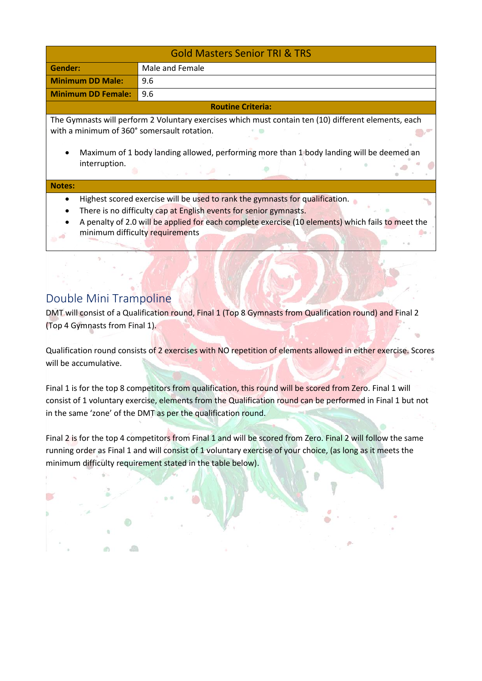| <b>Gold Masters Senior TRI &amp; TRS</b>                                                             |                 |  |
|------------------------------------------------------------------------------------------------------|-----------------|--|
| Gender:                                                                                              | Male and Female |  |
| <b>Minimum DD Male:</b>                                                                              | 9.6             |  |
| <b>Minimum DD Female:</b>                                                                            | 9.6             |  |
| <b>Routine Criteria:</b>                                                                             |                 |  |
| The Gymnasts will perform 2 Voluntary exercises which must contain ten (10) different elements, each |                 |  |
| with a minimum of 360° somersault rotation.                                                          |                 |  |

• Maximum of 1 body landing allowed, performing more than 1 body landing will be deemed an interruption.

 $\rightarrow$ 

#### **Notes:**

- Highest scored exercise will be used to rank the gymnasts for qualification.
- There is no difficulty cap at English events for senior gymnasts.
- A penalty of 2.0 will be applied for each complete exercise (10 elements) which fails to meet the minimum difficulty requirements

#### <span id="page-12-0"></span>Double Mini Trampoline

血

通

DMT will consist of a Qualification round, Final 1 (Top 8 Gymnasts from Qualification round) and Final 2 (Top 4 Gymnasts from Final 1).

Qualification round consists of 2 exercises with NO repetition of elements allowed in either exercise. Scores will be accumulative.

Final 1 is for the top 8 competitors from qualification, this round will be scored from Zero. Final 1 will consist of 1 voluntary exercise, elements from the Qualification round can be performed in Final 1 but not in the same 'zone' of the DMT as per the qualification round.

Final 2 is for the top 4 competitors from Final 1 and will be scored from Zero. Final 2 will follow the same running order as Final 1 and will consist of 1 voluntary exercise of your choice, (as long as it meets the minimum difficulty requirement stated in the table below).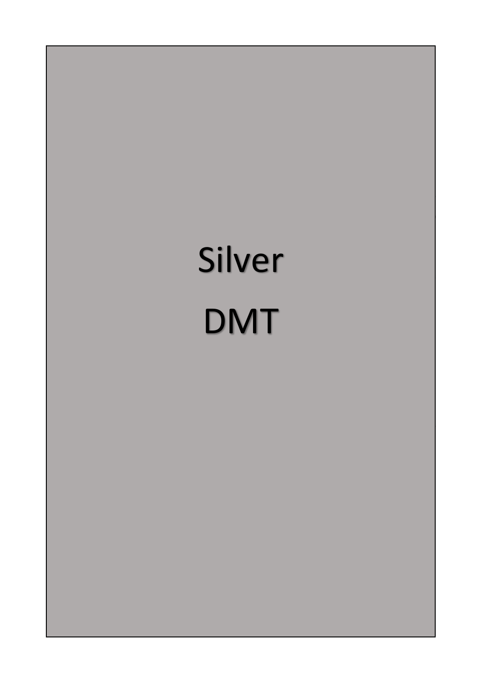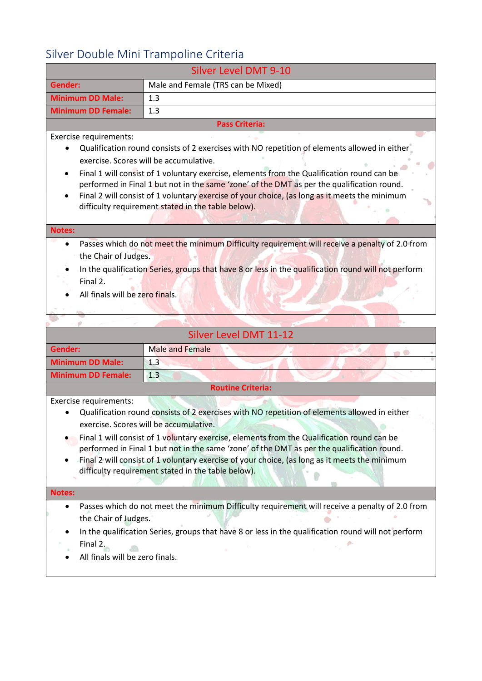### <span id="page-14-0"></span>Silver Double Mini Trampoline Criteria

|                                                                                                                                          | Silver Double Ivillii Traffipolifie Criteria<br><b>Silver Level DMT 9-10</b>                                                                                                                                                                                                                                                                                                                                                                                                                                                                                                                                                                                                                       |  |
|------------------------------------------------------------------------------------------------------------------------------------------|----------------------------------------------------------------------------------------------------------------------------------------------------------------------------------------------------------------------------------------------------------------------------------------------------------------------------------------------------------------------------------------------------------------------------------------------------------------------------------------------------------------------------------------------------------------------------------------------------------------------------------------------------------------------------------------------------|--|
|                                                                                                                                          |                                                                                                                                                                                                                                                                                                                                                                                                                                                                                                                                                                                                                                                                                                    |  |
| <b>Gender:</b>                                                                                                                           | Male and Female (TRS can be Mixed)                                                                                                                                                                                                                                                                                                                                                                                                                                                                                                                                                                                                                                                                 |  |
| <b>Minimum DD Male:</b>                                                                                                                  | 1.3                                                                                                                                                                                                                                                                                                                                                                                                                                                                                                                                                                                                                                                                                                |  |
| <b>Minimum DD Female:</b>                                                                                                                | 1.3                                                                                                                                                                                                                                                                                                                                                                                                                                                                                                                                                                                                                                                                                                |  |
|                                                                                                                                          | <b>Pass Criteria:</b>                                                                                                                                                                                                                                                                                                                                                                                                                                                                                                                                                                                                                                                                              |  |
| Exercise requirements:<br>$\bullet$<br><b>Notes:</b><br>$\bullet$<br>the Chair of Judges.<br>Final 2.<br>All finals will be zero finals. | Qualification round consists of 2 exercises with NO repetition of elements allowed in either<br>exercise. Scores will be accumulative.<br>Final 1 will consist of 1 voluntary exercise, elements from the Qualification round can be<br>performed in Final 1 but not in the same 'zone' of the DMT as per the qualification round.<br>Final 2 will consist of 1 voluntary exercise of your choice, (as long as it meets the minimum<br>difficulty requirement stated in the table below).<br>Passes which do not meet the minimum Difficulty requirement will receive a penalty of 2.0 from<br>In the qualification Series, groups that have 8 or less in the qualification round will not perform |  |
|                                                                                                                                          | Silver Level DMT 11-12                                                                                                                                                                                                                                                                                                                                                                                                                                                                                                                                                                                                                                                                             |  |
|                                                                                                                                          |                                                                                                                                                                                                                                                                                                                                                                                                                                                                                                                                                                                                                                                                                                    |  |
| <b>Gender:</b>                                                                                                                           | <b>Male and Female</b>                                                                                                                                                                                                                                                                                                                                                                                                                                                                                                                                                                                                                                                                             |  |
| <b>Minimum DD Male:</b><br><b>Minimum DD Female:</b>                                                                                     | 1.3<br>1.3                                                                                                                                                                                                                                                                                                                                                                                                                                                                                                                                                                                                                                                                                         |  |
|                                                                                                                                          | <b>Routine Criteria:</b>                                                                                                                                                                                                                                                                                                                                                                                                                                                                                                                                                                                                                                                                           |  |
| Exercise requirements:                                                                                                                   | Qualification round consists of 2 exercises with NO repetition of elements allowed in either<br>exercise. Scores will be accumulative.<br>Final 1 will consist of 1 voluntary exercise, elements from the Qualification round can be<br>performed in Final 1 but not in the same 'zone' of the DMT as per the qualification round.<br>Final 2 will consist of 1 voluntary exercise of your choice, (as long as it meets the minimum<br>difficulty requirement stated in the table below).                                                                                                                                                                                                          |  |
| <b>Notes:</b>                                                                                                                            |                                                                                                                                                                                                                                                                                                                                                                                                                                                                                                                                                                                                                                                                                                    |  |
| $\bullet$                                                                                                                                | Passes which do not meet the minimum Difficulty requirement will receive a penalty of 2.0 from                                                                                                                                                                                                                                                                                                                                                                                                                                                                                                                                                                                                     |  |

- the Chair of Judges.
- In the qualification Series, groups that have 8 or less in the qualification round will not perform Final 2.
- All finals will be zero finals.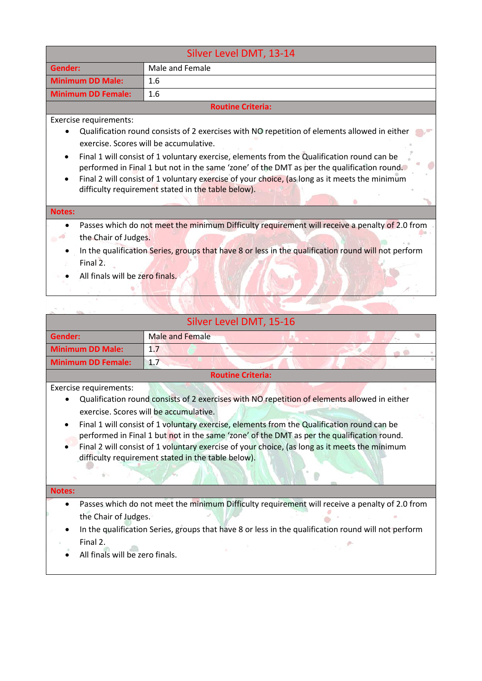| Silver Level DMT, 13-14                                             |                                                                                                                                                                                                                                                                                                                                                 |  |
|---------------------------------------------------------------------|-------------------------------------------------------------------------------------------------------------------------------------------------------------------------------------------------------------------------------------------------------------------------------------------------------------------------------------------------|--|
| Gender:                                                             | Male and Female                                                                                                                                                                                                                                                                                                                                 |  |
| <b>Minimum DD Male:</b><br>1.6                                      |                                                                                                                                                                                                                                                                                                                                                 |  |
| 1.6<br><b>Minimum DD Female:</b>                                    |                                                                                                                                                                                                                                                                                                                                                 |  |
|                                                                     | <b>Routine Criteria:</b>                                                                                                                                                                                                                                                                                                                        |  |
| Exercise requirements:                                              |                                                                                                                                                                                                                                                                                                                                                 |  |
|                                                                     | Qualification round consists of 2 exercises with NO repetition of elements allowed in either<br>exercise. Scores will be accumulative.                                                                                                                                                                                                          |  |
| $\bullet$                                                           | Final 1 will consist of 1 voluntary exercise, elements from the Qualification round can be<br>performed in Final 1 but not in the same 'zone' of the DMT as per the qualification round.<br>Final 2 will consist of 1 voluntary exercise of your choice, (as long as it meets the minimum<br>difficulty requirement stated in the table below). |  |
| <b>Notes:</b>                                                       |                                                                                                                                                                                                                                                                                                                                                 |  |
| the Chair of Judges.<br>Final 2.<br>All finals will be zero finals. | Passes which do not meet the minimum Difficulty requirement will receive a penalty of 2.0 from<br>In the qualification Series, groups that have 8 or less in the qualification round will not perform                                                                                                                                           |  |

| Silver Level DMT, 15-16   |                        |  |  |
|---------------------------|------------------------|--|--|
| Gender:                   | <b>Male and Female</b> |  |  |
| <b>Minimum DD Male:</b>   | 1.7                    |  |  |
| <b>Minimum DD Female:</b> | 1.7                    |  |  |

**ANTI KAN** 

#### **Routine Criteria:**

Exercise requirements:

 $\hat{q}^{\prime}$ 

- Qualification round consists of 2 exercises with NO repetition of elements allowed in either exercise. Scores will be accumulative.
- Final 1 will consist of 1 voluntary exercise, elements from the Qualification round can be performed in Final 1 but not in the same 'zone' of the DMT as per the qualification round.
- Final 2 will consist of 1 voluntary exercise of your choice, (as long as it meets the minimum difficulty requirement stated in the table below).

#### **Notes:**

• Passes which do not meet the minimum Difficulty requirement will receive a penalty of 2.0 from the Chair of Judges.  $\circ$ 

0

In the qualification Series, groups that have 8 or less in the qualification round will not perform Final 2.

All finals will be zero finals.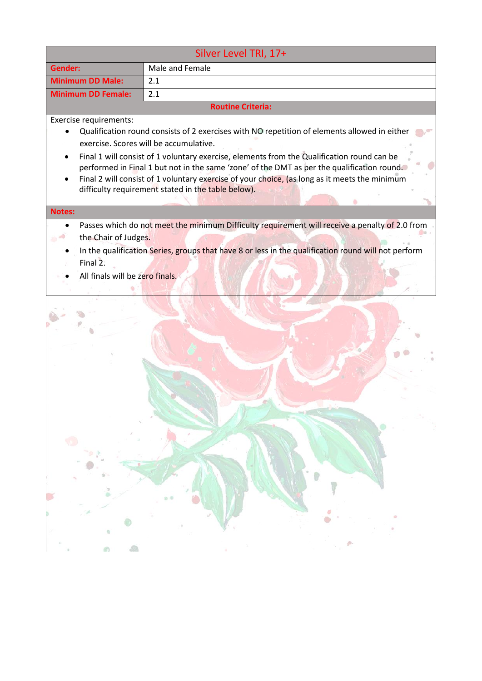| Silver Level TRI, 17+                   |                                                                                                                                                                                                                                                                                                                                                                                                                                                                                           |  |
|-----------------------------------------|-------------------------------------------------------------------------------------------------------------------------------------------------------------------------------------------------------------------------------------------------------------------------------------------------------------------------------------------------------------------------------------------------------------------------------------------------------------------------------------------|--|
| Gender:                                 | Male and Female                                                                                                                                                                                                                                                                                                                                                                                                                                                                           |  |
| <b>Minimum DD Male:</b>                 | 2.1                                                                                                                                                                                                                                                                                                                                                                                                                                                                                       |  |
| <b>Minimum DD Female:</b>               | 2.1                                                                                                                                                                                                                                                                                                                                                                                                                                                                                       |  |
|                                         | <b>Routine Criteria:</b>                                                                                                                                                                                                                                                                                                                                                                                                                                                                  |  |
| Exercise requirements:<br><b>Notes:</b> | Qualification round consists of 2 exercises with NO repetition of elements allowed in either<br>exercise. Scores will be accumulative.<br>Final 1 will consist of 1 voluntary exercise, elements from the Qualification round can be<br>performed in Final 1 but not in the same 'zone' of the DMT as per the qualification round.<br>Final 2 will consist of 1 voluntary exercise of your choice, (as long as it meets the minimum<br>difficulty requirement stated in the table below). |  |
|                                         | Passes which do not meet the minimum Difficulty requirement will receive a penalty of 2.0 from                                                                                                                                                                                                                                                                                                                                                                                            |  |
| the Chair of Judges.                    |                                                                                                                                                                                                                                                                                                                                                                                                                                                                                           |  |
| Final 2.                                | In the qualification Series, groups that have 8 or less in the qualification round will not perform                                                                                                                                                                                                                                                                                                                                                                                       |  |
| All finals will be zero finals.         |                                                                                                                                                                                                                                                                                                                                                                                                                                                                                           |  |
|                                         |                                                                                                                                                                                                                                                                                                                                                                                                                                                                                           |  |

**N**  $\mathbb{C}$ 

ä

 $\bar{1}$ 

 $d\hat{y}$ 

 $\sqrt{2}$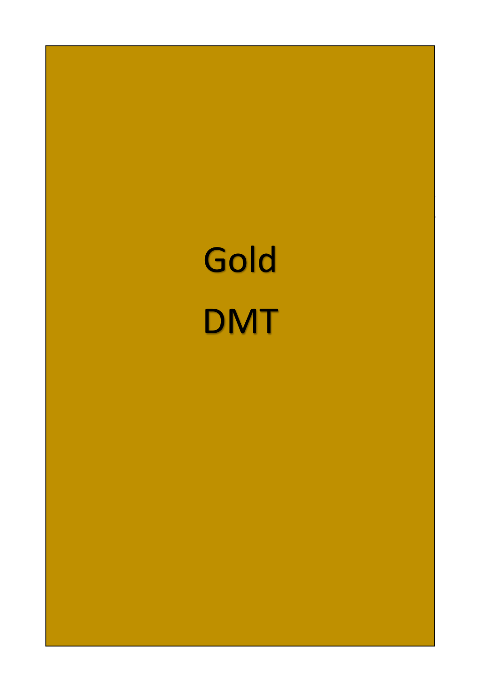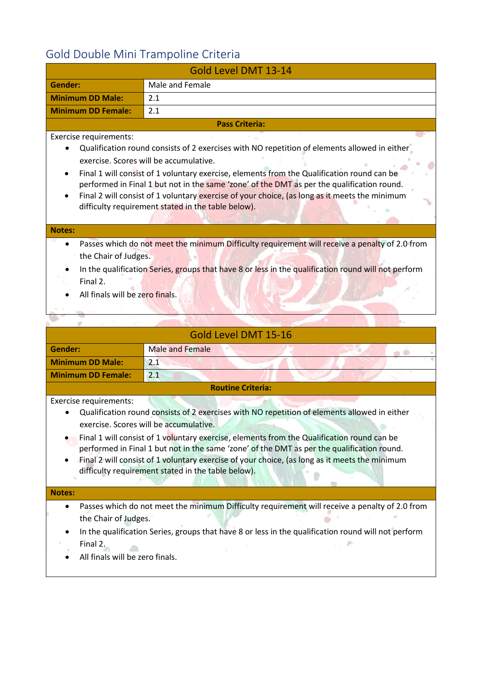# <span id="page-18-0"></span>Gold Double Mini Trampoline Criteria

| Gold Level DMT 13-14                                                                                                                                                                                                                                                         |                                                                                                                                                                                                                                                                                                                                                                                                                                                                                           |  |
|------------------------------------------------------------------------------------------------------------------------------------------------------------------------------------------------------------------------------------------------------------------------------|-------------------------------------------------------------------------------------------------------------------------------------------------------------------------------------------------------------------------------------------------------------------------------------------------------------------------------------------------------------------------------------------------------------------------------------------------------------------------------------------|--|
| Gender:                                                                                                                                                                                                                                                                      | Male and Female                                                                                                                                                                                                                                                                                                                                                                                                                                                                           |  |
| <b>Minimum DD Male:</b>                                                                                                                                                                                                                                                      | 2.1                                                                                                                                                                                                                                                                                                                                                                                                                                                                                       |  |
| <b>Minimum DD Female:</b>                                                                                                                                                                                                                                                    | 2.1                                                                                                                                                                                                                                                                                                                                                                                                                                                                                       |  |
|                                                                                                                                                                                                                                                                              | <b>Pass Criteria:</b>                                                                                                                                                                                                                                                                                                                                                                                                                                                                     |  |
| Exercise requirements:                                                                                                                                                                                                                                                       | Qualification round consists of 2 exercises with NO repetition of elements allowed in either<br>exercise. Scores will be accumulative.<br>Final 1 will consist of 1 voluntary exercise, elements from the Qualification round can be<br>performed in Final 1 but not in the same 'zone' of the DMT as per the qualification round.<br>Final 2 will consist of 1 voluntary exercise of your choice, (as long as it meets the minimum<br>difficulty requirement stated in the table below). |  |
| <b>Notes:</b>                                                                                                                                                                                                                                                                |                                                                                                                                                                                                                                                                                                                                                                                                                                                                                           |  |
| Passes which do not meet the minimum Difficulty requirement will receive a penalty of 2.0 from<br>the Chair of Judges.<br>In the qualification Series, groups that have 8 or less in the qualification round will not perform<br>Final 2.<br>All finals will be zero finals. |                                                                                                                                                                                                                                                                                                                                                                                                                                                                                           |  |
| Gold Level DMT 15-16                                                                                                                                                                                                                                                         |                                                                                                                                                                                                                                                                                                                                                                                                                                                                                           |  |
| <b>Gender:</b>                                                                                                                                                                                                                                                               | <b>Male and Female</b>                                                                                                                                                                                                                                                                                                                                                                                                                                                                    |  |
| <b>Minimum DD Male:</b>                                                                                                                                                                                                                                                      | 2.1                                                                                                                                                                                                                                                                                                                                                                                                                                                                                       |  |
| <b>Minimum DD Female:</b>                                                                                                                                                                                                                                                    | 2.1                                                                                                                                                                                                                                                                                                                                                                                                                                                                                       |  |

#### **Routine Criteria:**

Exercise requirements:

- Qualification round consists of 2 exercises with NO repetition of elements allowed in either exercise. Scores will be accumulative.
- Final 1 will consist of 1 voluntary exercise, elements from the Qualification round can be performed in Final 1 but not in the same 'zone' of the DMT as per the qualification round.
- Final 2 will consist of 1 voluntary exercise of your choice, (as long as it meets the minimum difficulty requirement stated in the table below).

#### **Notes:**

- Passes which do not meet the minimum Difficulty requirement will receive a penalty of 2.0 from the Chair of Judges.  $\bullet$
- In the qualification Series, groups that have 8 or less in the qualification round will not perform Final 2.  $\sqrt{2}$
- All finals will be zero finals.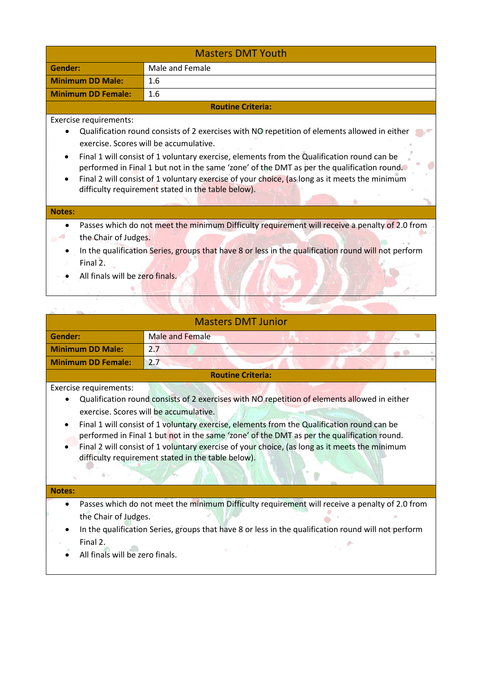| <b>Masters DMT Youth</b>                                            |                                                                                                                                                                                                                                                                                                                                                                                                                                                                                           |  |
|---------------------------------------------------------------------|-------------------------------------------------------------------------------------------------------------------------------------------------------------------------------------------------------------------------------------------------------------------------------------------------------------------------------------------------------------------------------------------------------------------------------------------------------------------------------------------|--|
| Gender:                                                             | Male and Female                                                                                                                                                                                                                                                                                                                                                                                                                                                                           |  |
| <b>Minimum DD Male:</b>                                             | 1.6                                                                                                                                                                                                                                                                                                                                                                                                                                                                                       |  |
| <b>Minimum DD Female:</b>                                           | 1.6                                                                                                                                                                                                                                                                                                                                                                                                                                                                                       |  |
|                                                                     | <b>Routine Criteria:</b>                                                                                                                                                                                                                                                                                                                                                                                                                                                                  |  |
| Exercise requirements:                                              | Qualification round consists of 2 exercises with NO repetition of elements allowed in either<br>exercise. Scores will be accumulative.<br>Final 1 will consist of 1 voluntary exercise, elements from the Qualification round can be<br>performed in Final 1 but not in the same 'zone' of the DMT as per the qualification round.<br>Final 2 will consist of 1 voluntary exercise of your choice, (as long as it meets the minimum<br>difficulty requirement stated in the table below). |  |
| <b>Notes:</b>                                                       |                                                                                                                                                                                                                                                                                                                                                                                                                                                                                           |  |
| the Chair of Judges.<br>Final 2.<br>All finals will be zero finals. | Passes which do not meet the minimum Difficulty requirement will receive a penalty of 2.0 from<br>In the qualification Series, groups that have 8 or less in the qualification round will not perform                                                                                                                                                                                                                                                                                     |  |
|                                                                     |                                                                                                                                                                                                                                                                                                                                                                                                                                                                                           |  |

| <b>Masters DMT Junior</b> |                 |  |  |
|---------------------------|-----------------|--|--|
| Gender:                   | Male and Female |  |  |
| <b>Minimum DD Male:</b>   | 2.7             |  |  |
| <b>Minimum DD Female:</b> | 2.7             |  |  |

#### **Routine Criteria:**

Exercise requirements:

 $\tilde{\eta}$  .

- Qualification round consists of 2 exercises with NO repetition of elements allowed in either exercise. Scores will be accumulative.
- Final 1 will consist of 1 voluntary exercise, elements from the Qualification round can be performed in Final 1 but not in the same 'zone' of the DMT as per the qualification round.
- Final 2 will consist of 1 voluntary exercise of your choice, (as long as it meets the minimum difficulty requirement stated in the table below).

#### **Notes:**

• Passes which do not meet the minimum Difficulty requirement will receive a penalty of 2.0 from the Chair of Judges.  $\circ$ 

0

In the qualification Series, groups that have 8 or less in the qualification round will not perform Final 2.

All finals will be zero finals.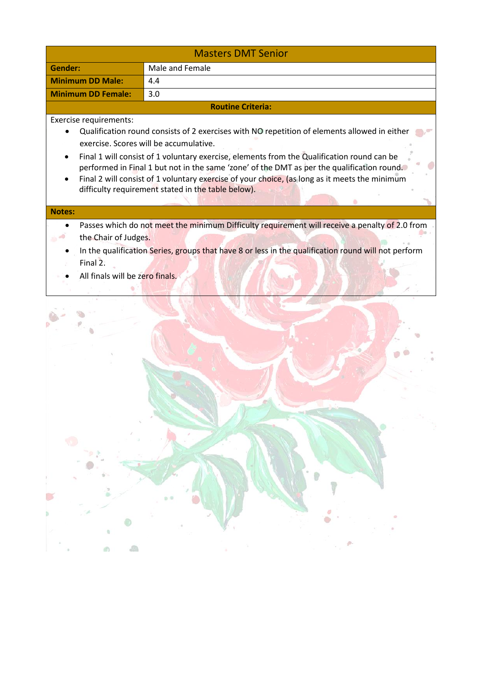|                                                                     | <b>Masters DMT Senior</b>                                                                                                                                                                                                                                                                                                                                                                                                                                                                 |
|---------------------------------------------------------------------|-------------------------------------------------------------------------------------------------------------------------------------------------------------------------------------------------------------------------------------------------------------------------------------------------------------------------------------------------------------------------------------------------------------------------------------------------------------------------------------------|
| <b>Gender:</b>                                                      | Male and Female                                                                                                                                                                                                                                                                                                                                                                                                                                                                           |
| <b>Minimum DD Male:</b>                                             | 4.4                                                                                                                                                                                                                                                                                                                                                                                                                                                                                       |
| <b>Minimum DD Female:</b>                                           | 3.0                                                                                                                                                                                                                                                                                                                                                                                                                                                                                       |
|                                                                     | <b>Routine Criteria:</b>                                                                                                                                                                                                                                                                                                                                                                                                                                                                  |
| Exercise requirements:<br><b>Notes:</b>                             | Qualification round consists of 2 exercises with NO repetition of elements allowed in either<br>exercise. Scores will be accumulative.<br>Final 1 will consist of 1 voluntary exercise, elements from the Qualification round can be<br>performed in Final 1 but not in the same 'zone' of the DMT as per the qualification round.<br>Final 2 will consist of 1 voluntary exercise of your choice, (as long as it meets the minimum<br>difficulty requirement stated in the table below). |
| the Chair of Judges.<br>Final 2.<br>All finals will be zero finals. | Passes which do not meet the minimum Difficulty requirement will receive a penalty of 2.0 from<br>In the qualification Series, groups that have 8 or less in the qualification round will not perform                                                                                                                                                                                                                                                                                     |
|                                                                     |                                                                                                                                                                                                                                                                                                                                                                                                                                                                                           |

a

**N**  $\mathbb{C}$ 

ä

 $\bar{1}$ 

奶

 $\sqrt{2}$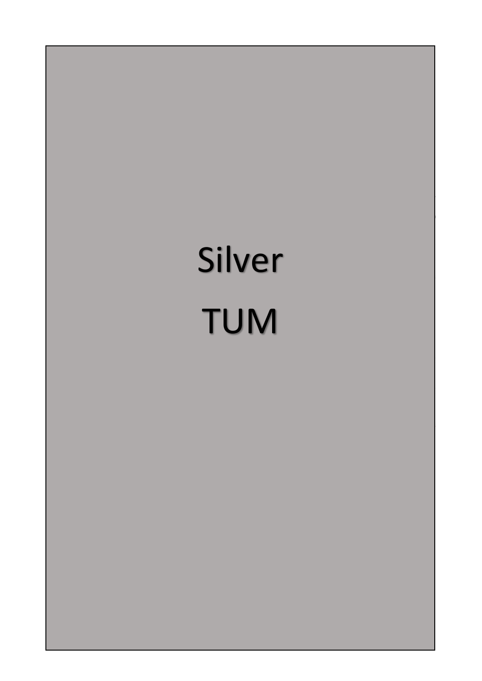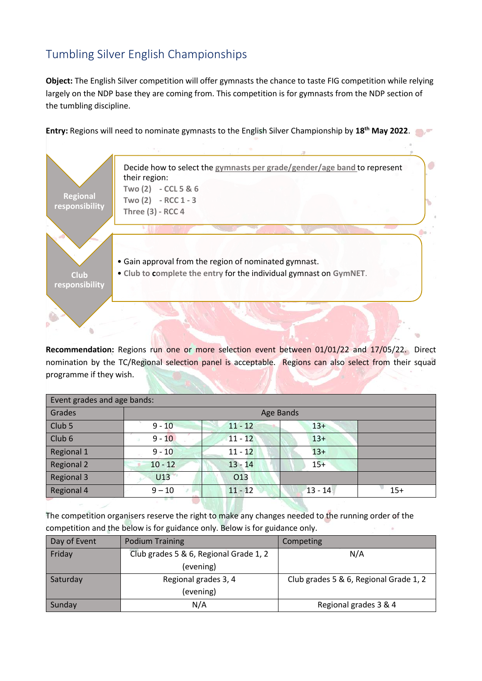# <span id="page-22-0"></span>Tumbling Silver English Championships

**Object:** The English Silver competition will offer gymnasts the chance to taste FIG competition while relying largely on the NDP base they are coming from. This competition is for gymnasts from the NDP section of the tumbling discipline.

**Entry:** Regions will need to nominate gymnasts to the English Silver Championship by **18th May 2022**.



**Recommendation:** Regions run one or more selection event between 01/01/22 and 17/05/22. Direct nomination by the TC/Regional selection panel is acceptable. Regions can also select from their squad programme if they wish.

| Event grades and age bands: |           |           |           |       |
|-----------------------------|-----------|-----------|-----------|-------|
| Grades                      | Age Bands |           |           |       |
| Club <sub>5</sub>           | $9 - 10$  | $11 - 12$ | $13+$     |       |
| Club <sub>6</sub>           | $9 - 10$  | $11 - 12$ | $13+$     |       |
| Regional 1                  | $9 - 10$  | $11 - 12$ | $13+$     |       |
| <b>Regional 2</b>           | $10 - 12$ | $13 - 14$ | $15+$     |       |
| <b>Regional 3</b>           | U13       | 013       |           |       |
| Regional 4                  | $9 - 10$  | $11 - 12$ | $13 - 14$ | $15+$ |

The competition organisers reserve the right to make any changes needed to the running order of the competition and the below is for guidance only. Below is for guidance only.

| Day of Event | <b>Podium Training</b>                 | Competing                              |
|--------------|----------------------------------------|----------------------------------------|
| Friday       | Club grades 5 & 6, Regional Grade 1, 2 | N/A                                    |
|              | (evening)                              |                                        |
| Saturday     | Regional grades 3, 4                   | Club grades 5 & 6, Regional Grade 1, 2 |
|              | (evening)                              |                                        |
| Sunday       | N/A                                    | Regional grades 3 & 4                  |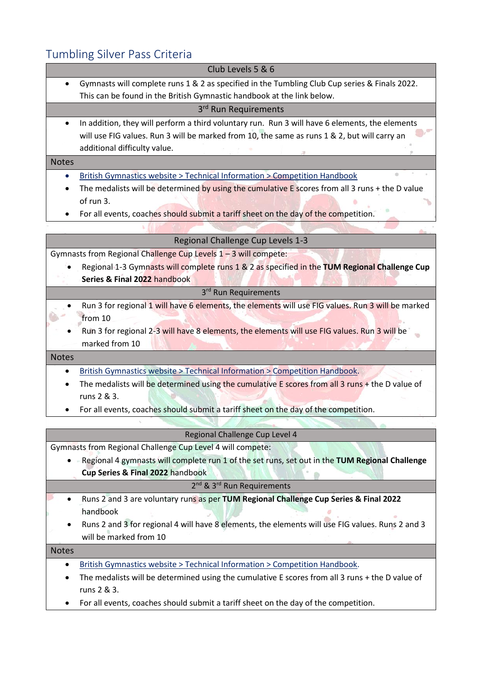# <span id="page-23-0"></span>Tumbling Silver Pass Criteria

| Tumbling Silver Pass Criteria                                                                               |
|-------------------------------------------------------------------------------------------------------------|
| Club Levels 5 & 6                                                                                           |
| Gymnasts will complete runs 1 & 2 as specified in the Tumbling Club Cup series & Finals 2022.<br>$\bullet$  |
| This can be found in the British Gymnastic handbook at the link below.                                      |
| 3 <sup>rd</sup> Run Requirements                                                                            |
| In addition, they will perform a third voluntary run. Run 3 will have 6 elements, the elements<br>$\bullet$ |
| will use FIG values. Run 3 will be marked from 10, the same as runs 1 & 2, but will carry an                |
| additional difficulty value.                                                                                |
| <b>Notes</b>                                                                                                |
| British Gymnastics website > Technical Information > Competition Handbook                                   |
| The medalists will be determined by using the cumulative E scores from all 3 runs $+$ the D value           |
| of run 3.                                                                                                   |
| For all events, coaches should submit a tariff sheet on the day of the competition.                         |
|                                                                                                             |
| Regional Challenge Cup Levels 1-3                                                                           |
| Gymnasts from Regional Challenge Cup Levels 1-3 will compete:                                               |
| Regional 1-3 Gymnasts will complete runs 1 & 2 as specified in the TUM Regional Challenge Cup               |
| Series & Final 2022 handbook                                                                                |
| 3 <sup>rd</sup> Run Requirements                                                                            |
| Run 3 for regional 1 will have 6 elements, the elements will use FIG values. Run 3 will be marked           |
| from 10                                                                                                     |
| Run 3 for regional 2-3 will have 8 elements, the elements will use FIG values. Run 3 will be                |
| marked from 10                                                                                              |
| <b>Notes</b>                                                                                                |
| British Gymnastics website > Technical Information > Competition Handbook.                                  |
| The medalists will be determined using the cumulative E scores from all 3 runs + the D value of             |
| runs 2 & 3.                                                                                                 |
| For all events, coaches should submit a tariff sheet on the day of the competition.<br>٠                    |
|                                                                                                             |
| Regional Challenge Cup Level 4                                                                              |
| Gymnasts from Regional Challenge Cup Level 4 will compete:                                                  |
| Regional 4 gymnasts will complete run 1 of the set runs, set out in the TUM Regional Challenge<br>٠         |

**Cup Series & Final 2022** handbook

#### 2<sup>nd</sup> & 3<sup>rd</sup> Run Requirements

- Runs 2 and 3 are voluntary runs as per **TUM Regional Challenge Cup Series & Final 2022** handbook
- Runs 2 and 3 for regional 4 will have 8 elements, the elements will use FIG values. Runs 2 and 3 will be marked from 10

Notes

- [British Gymnastics website > Technical Information > Competition Handbook.](https://www.british-gymnastics.org/technical-information/competition-handbooks/tumbling)
- The medalists will be determined using the cumulative E scores from all 3 runs + the D value of runs 2 & 3.
- For all events, coaches should submit a tariff sheet on the day of the competition.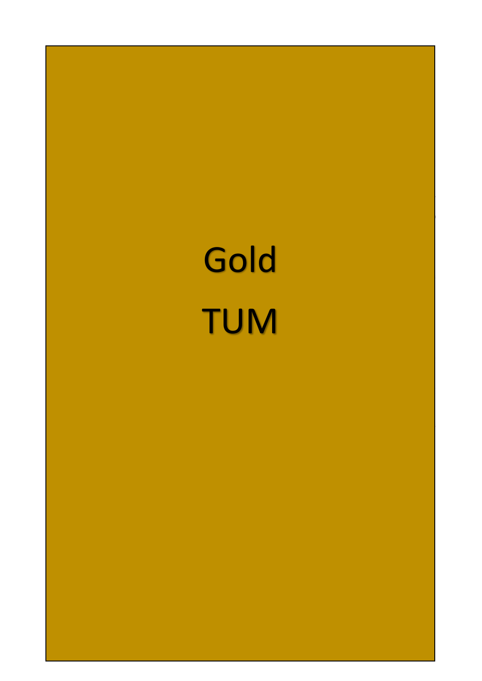<span id="page-24-0"></span>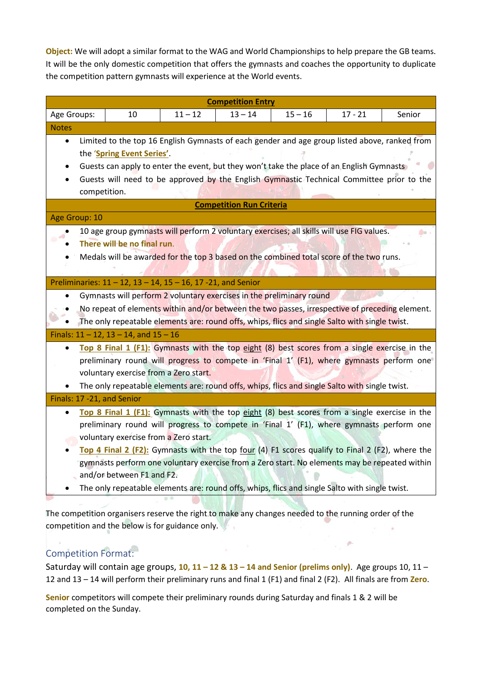**Object:** We will adopt a similar format to the WAG and World Championships to help prepare the GB teams. It will be the only domestic competition that offers the gymnasts and coaches the opportunity to duplicate the competition pattern gymnasts will experience at the World events.

| <b>Competition Entry</b>                                                                                                                                                                         |                                                                                                                                  |    |           |                                                                                                |           |           |        |  |
|--------------------------------------------------------------------------------------------------------------------------------------------------------------------------------------------------|----------------------------------------------------------------------------------------------------------------------------------|----|-----------|------------------------------------------------------------------------------------------------|-----------|-----------|--------|--|
| Age Groups:                                                                                                                                                                                      |                                                                                                                                  | 10 | $11 - 12$ | $13 - 14$                                                                                      | $15 - 16$ | $17 - 21$ | Senior |  |
| <b>Notes</b>                                                                                                                                                                                     |                                                                                                                                  |    |           |                                                                                                |           |           |        |  |
| ٠                                                                                                                                                                                                | Limited to the top 16 English Gymnasts of each gender and age group listed above, ranked from                                    |    |           |                                                                                                |           |           |        |  |
|                                                                                                                                                                                                  | the 'Spring Event Series'.                                                                                                       |    |           |                                                                                                |           |           |        |  |
|                                                                                                                                                                                                  | Guests can apply to enter the event, but they won't take the place of an English Gymnasts                                        |    |           |                                                                                                |           |           |        |  |
|                                                                                                                                                                                                  | Guests will need to be approved by the English Gymnastic Technical Committee prior to the                                        |    |           |                                                                                                |           |           |        |  |
|                                                                                                                                                                                                  | competition.                                                                                                                     |    |           |                                                                                                |           |           |        |  |
| <b>Competition Run Criteria</b>                                                                                                                                                                  |                                                                                                                                  |    |           |                                                                                                |           |           |        |  |
| Age Group: 10                                                                                                                                                                                    |                                                                                                                                  |    |           |                                                                                                |           |           |        |  |
|                                                                                                                                                                                                  | 10 age group gymnasts will perform 2 voluntary exercises; all skills will use FIG values.<br>இல்.<br>There will be no final run. |    |           |                                                                                                |           |           |        |  |
|                                                                                                                                                                                                  |                                                                                                                                  |    |           |                                                                                                |           |           |        |  |
|                                                                                                                                                                                                  | Medals will be awarded for the top 3 based on the combined total score of the two runs.                                          |    |           |                                                                                                |           |           |        |  |
|                                                                                                                                                                                                  |                                                                                                                                  |    |           |                                                                                                |           |           |        |  |
| Preliminaries: $11 - 12$ , $13 - 14$ , $15 - 16$ , 17 -21, and Senior                                                                                                                            |                                                                                                                                  |    |           |                                                                                                |           |           |        |  |
|                                                                                                                                                                                                  | Gymnasts will perform 2 voluntary exercises in the preliminary round                                                             |    |           |                                                                                                |           |           |        |  |
|                                                                                                                                                                                                  | No repeat of elements within and/or between the two passes, irrespective of preceding element.                                   |    |           |                                                                                                |           |           |        |  |
|                                                                                                                                                                                                  | The only repeatable elements are: round offs, whips, flics and single Salto with single twist.                                   |    |           |                                                                                                |           |           |        |  |
| Finals: $11 - 12$ , $13 - 14$ , and $15 - 16$                                                                                                                                                    |                                                                                                                                  |    |           |                                                                                                |           |           |        |  |
| $\bullet$                                                                                                                                                                                        | Top 8 Final 1 (F1): Gymnasts with the top eight (8) best scores from a single exercise in the                                    |    |           |                                                                                                |           |           |        |  |
|                                                                                                                                                                                                  | preliminary round will progress to compete in 'Final 1' (F1), where gymnasts perform one                                         |    |           |                                                                                                |           |           |        |  |
|                                                                                                                                                                                                  | voluntary exercise from a Zero start.                                                                                            |    |           |                                                                                                |           |           |        |  |
|                                                                                                                                                                                                  |                                                                                                                                  |    |           | The only repeatable elements are: round offs, whips, flics and single Salto with single twist. |           |           |        |  |
| Finals: 17 -21, and Senior                                                                                                                                                                       |                                                                                                                                  |    |           |                                                                                                |           |           |        |  |
| $\bullet$                                                                                                                                                                                        | Top 8 Final 1 (F1): Gymnasts with the top eight (8) best scores from a single exercise in the                                    |    |           |                                                                                                |           |           |        |  |
|                                                                                                                                                                                                  | preliminary round will progress to compete in 'Final 1' (F1), where gymnasts perform one                                         |    |           |                                                                                                |           |           |        |  |
|                                                                                                                                                                                                  | voluntary exercise from a Zero start.                                                                                            |    |           |                                                                                                |           |           |        |  |
| Top 4 Final 2 (F2): Gymnasts with the top four (4) F1 scores qualify to Final 2 (F2), where the<br>gymnasts perform one voluntary exercise from a Zero start. No elements may be repeated within |                                                                                                                                  |    |           |                                                                                                |           |           |        |  |
|                                                                                                                                                                                                  |                                                                                                                                  |    |           |                                                                                                |           |           |        |  |
| and/or between F1 and F2.                                                                                                                                                                        |                                                                                                                                  |    |           |                                                                                                |           |           |        |  |
|                                                                                                                                                                                                  |                                                                                                                                  |    |           | The only repeatable elements are: round offs, whips, flics and single Salto with single twist. |           |           |        |  |
|                                                                                                                                                                                                  |                                                                                                                                  |    |           |                                                                                                |           |           |        |  |

The competition organisers reserve the right to make any changes needed to the running order of the competition and the below is for guidance only.

### <span id="page-25-0"></span>Competition Format:

Saturday will contain age groups, **10, 11 – 12 & 13 – 14 and Senior (prelims only)**. Age groups 10, 11 – 12 and 13 – 14 will perform their preliminary runs and final 1 (F1) and final 2 (F2). All finals are from **Zero**.

 $\mathcal{O}_{\mathcal{A}}$ 

**Senior** competitors will compete their preliminary rounds during Saturday and finals 1 & 2 will be completed on the Sunday.

 $\alpha_{\rm{max}}=0.5$